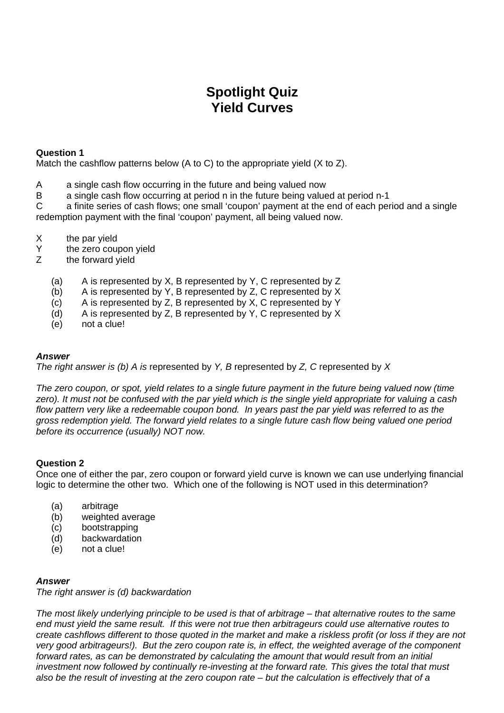# **Spotlight Quiz Yield Curves**

## **Question 1**

Match the cashflow patterns below (A to C) to the appropriate yield (X to Z).

- A a single cash flow occurring in the future and being valued now
- B a single cash flow occurring at period n in the future being valued at period n-1

C a finite series of cash flows; one small 'coupon' payment at the end of each period and a single redemption payment with the final 'coupon' payment, all being valued now.

- X the par yield<br>Y the zero could
- Y the zero coupon yield<br>
7 the forward vield
- the forward yield
	- (a) A is represented by X, B represented by Y, C represented by Z
	- (b) A is represented by Y, B represented by Z, C represented by X
	- (c) A is represented by Z, B represented by X, C represented by Y
	- (d) A is represented by Z, B represented by Y, C represented by X
	- (e) not a clue!

## *Answer*

*The right answer is (b) A is* represented by *Y, B* represented by *Z, C* represented by *X* 

*The zero coupon, or spot, yield relates to a single future payment in the future being valued now (time zero). It must not be confused with the par yield which is the single yield appropriate for valuing a cash*  flow pattern very like a redeemable coupon bond. In years past the par yield was referred to as the *gross redemption yield. The forward yield relates to a single future cash flow being valued one period before its occurrence (usually) NOT now.* 

## **Question 2**

Once one of either the par, zero coupon or forward yield curve is known we can use underlying financial logic to determine the other two. Which one of the following is NOT used in this determination?

- (a) arbitrage
- (b) weighted average
- (c) bootstrapping
- (d) backwardation
- (e) not a clue!

# *Answer*

*The right answer is (d) backwardation* 

*The most likely underlying principle to be used is that of arbitrage – that alternative routes to the same end must yield the same result. If this were not true then arbitrageurs could use alternative routes to create cashflows different to those quoted in the market and make a riskless profit (or loss if they are not very good arbitrageurs!). But the zero coupon rate is, in effect, the weighted average of the component forward rates, as can be demonstrated by calculating the amount that would result from an initial investment now followed by continually re-investing at the forward rate. This gives the total that must also be the result of investing at the zero coupon rate – but the calculation is effectively that of a*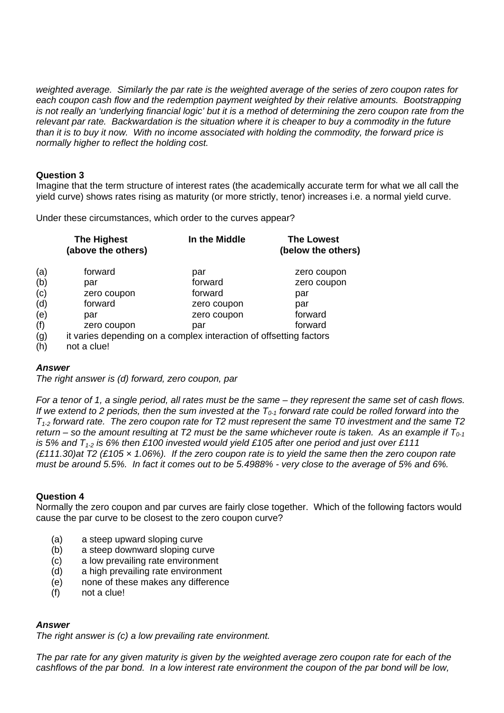*weighted average. Similarly the par rate is the weighted average of the series of zero coupon rates for*  each coupon cash flow and the redemption payment weighted by their relative amounts. Bootstrapping *is not really an 'underlying financial logic' but it is a method of determining the zero coupon rate from the relevant par rate. Backwardation is the situation where it is cheaper to buy a commodity in the future than it is to buy it now. With no income associated with holding the commodity, the forward price is normally higher to reflect the holding cost.* 

### **Question 3**

Imagine that the term structure of interest rates (the academically accurate term for what we all call the yield curve) shows rates rising as maturity (or more strictly, tenor) increases i.e. a normal yield curve.

Under these circumstances, which order to the curves appear?

|          | <b>The Highest</b><br>(above the others)                           | In the Middle | <b>The Lowest</b><br>(below the others) |
|----------|--------------------------------------------------------------------|---------------|-----------------------------------------|
| (a)      | forward                                                            | par           | zero coupon                             |
| (b)      | par                                                                | forward       | zero coupon                             |
| (c)      | zero coupon                                                        | forward       | par                                     |
| (d)      | forward                                                            | zero coupon   | par                                     |
| (e)      | par                                                                | zero coupon   | forward                                 |
| (f)      | zero coupon                                                        | par           | forward                                 |
| (g)      | it varies depending on a complex interaction of offsetting factors |               |                                         |
| $\cdots$ |                                                                    |               |                                         |

(h) not a clue!

## *Answer*

*The right answer is (d) forward, zero coupon, par* 

*For a tenor of 1, a single period, all rates must be the same – they represent the same set of cash flows. If we extend to 2 periods, then the sum invested at the*  $T_{0.1}$  *forward rate could be rolled forward into the T1-2 forward rate. The zero coupon rate for T2 must represent the same T0 investment and the same T2 return – so the amount resulting at T2 must be the same whichever route is taken. As an example if*  $T_{0.1}$ is 5% and  $T_{1-2}$  is 6% then £100 invested would yield £105 after one period and just over £111 *(£111.30)at T2 (£105 × 1.06%). If the zero coupon rate is to yield the same then the zero coupon rate must be around 5.5%. In fact it comes out to be 5.4988% - very close to the average of 5% and 6%.*

#### **Question 4**

Normally the zero coupon and par curves are fairly close together. Which of the following factors would cause the par curve to be closest to the zero coupon curve?

- (a) a steep upward sloping curve
- (b) a steep downward sloping curve
- (c) a low prevailing rate environment
- (d) a high prevailing rate environment
- (e) none of these makes any difference
- (f) not a clue!

## *Answer*

*The right answer is (c) a low prevailing rate environment.* 

*The par rate for any given maturity is given by the weighted average zero coupon rate for each of the cashflows of the par bond. In a low interest rate environment the coupon of the par bond will be low,*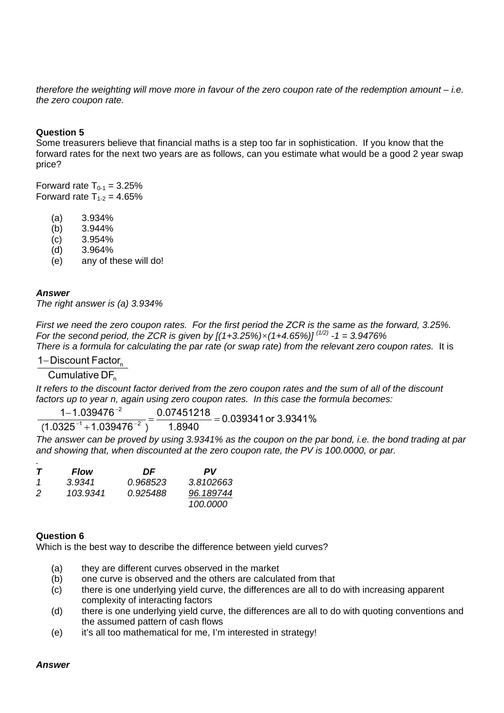*therefore the weighting will move more in favour of the zero coupon rate of the redemption amount – i.e. the zero coupon rate.* 

## **Question 5**

Some treasurers believe that financial maths is a step too far in sophistication. If you know that the forward rates for the next two years are as follows, can you estimate what would be a good 2 year swap price?

Forward rate  $T_{0-1} = 3.25\%$ Forward rate  $T_{1-2} = 4.65\%$ 

- (a) 3.934%
- (b) 3.944%
- $(c)$  3.954%
- (d) 3.964%
- (e) any of these will do!

### *Answer*

*The right answer is (a) 3.934%* 

*First we need the zero coupon rates. For the first period the ZCR is the same as the forward, 3.25%. For the second period, the ZCR is given by [(1+3.25%)×(1+4.65%)] (1/2) -1 = 3.9476% There is a formula for calculating the par rate (or swap rate) from the relevant zero coupon rates.* It is

# 1-Discount Factor

Cumulative DF<sub>n</sub>

*It refers to the discount factor derived from the zero coupon rates and the sum of all of the discount factors up to year n, again using zero coupon rates. In this case the formula becomes:* 

0. 0 7 4 5 1 2 1 8 1 1. 0 3 9 4 7 6  $\frac{-1.039476^{-2}}{25^{-1}+1.039476^{-2}}$   $\frac{0.07451218}{1.8940}$   $\equiv$ −

0 . 0 3 9 3 4 1 o r 3 . 9 3 4 1 % . . . . .  $(1.0325^{-\shortparallel}+1.039476^{-\allowbreak2}\ )$ . . *. . . . .* . . *. .* . . −<sup>1</sup> + 1 ∩20*1*.7G

*The answer can be proved by using 3.9341% as the coupon on the par bond, i.e. the bond trading at par and showing that, when discounted at the zero coupon rate, the PV is 100.0000, or par.* 

| $\bm{\tau}$ | <b>Flow</b> | DF       | PV              |
|-------------|-------------|----------|-----------------|
| -1          | 3.9341      | 0.968523 | 3.8102663       |
| 2           | 103.9341    | 0.925488 | 96.189744       |
|             |             |          | <i>100.0000</i> |

#### **Question 6**

Which is the best way to describe the difference between yield curves?

- (a) they are different curves observed in the market
- (b) one curve is observed and the others are calculated from that
- (c) there is one underlying yield curve, the differences are all to do with increasing apparent complexity of interacting factors
- (d) there is one underlying yield curve, the differences are all to do with quoting conventions and the assumed pattern of cash flows
- (e) it's all too mathematical for me, I'm interested in strategy!